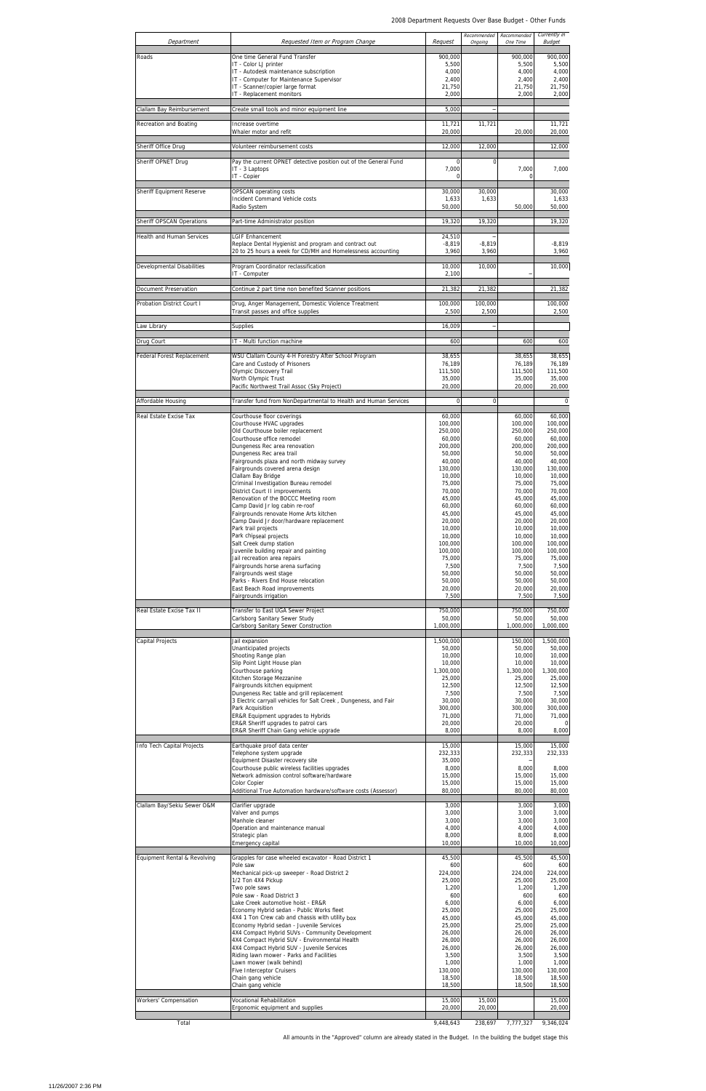| Department                   | Requested Item or Program Change                                                                                                                | Request                          | Recommended<br>Ongoing | Recommended<br>One Time     | Currently in<br><b>Budget</b> |
|------------------------------|-------------------------------------------------------------------------------------------------------------------------------------------------|----------------------------------|------------------------|-----------------------------|-------------------------------|
| Roads                        | One time General Fund Transfer<br>IT - Color LJ printer                                                                                         | 900.000<br>5,500                 |                        | 900,000<br>5,500            | 900,000<br>5,500              |
|                              | IT - Autodesk maintenance subscription<br>IT - Computer for Maintenance Supervisor                                                              | 4,000<br>2,400                   |                        | 4,000<br>2,400              | 4,000<br>2,400                |
|                              | IT - Scanner/copier large format<br>IT - Replacement monitors                                                                                   | 21,750<br>2,000                  |                        | 21,750<br>2,000             | 21,750<br>2,000               |
| Clallam Bay Reimbursement    | Create small tools and minor equipment line                                                                                                     | 5,000                            |                        |                             |                               |
| Recreation and Boating       | Increase overtime<br>Whaler motor and refit                                                                                                     | 11,721<br>20,000                 | 11,721                 | 20,000                      | 11,721<br>20,000              |
| Sheriff Office Drug          | Volunteer reimbursement costs                                                                                                                   | 12,000                           | 12,000                 |                             | 12,000                        |
| Sheriff OPNET Drug           | Pay the current OPNET detective position out of the General Fund<br>IT - 3 Laptops<br>IT - Copier                                               | $\Omega$<br>7,000<br>$\mathbf 0$ | $\mathbf 0$            | 7,000<br>0                  | 7,000                         |
| Sheriff Equipment Reserve    | OPSCAN operating costs<br>Incident Command Vehicle costs<br>Radio System                                                                        | 30,000<br>1,633<br>50,000        | 30,000<br>1,633        | 50,000                      | 30,000<br>1,633<br>50,000     |
| Sheriff OPSCAN Operations    | Part-time Administrator position                                                                                                                | 19,320                           | 19,320                 |                             | 19,320                        |
| Health and Human Services    | <b>LGIF Enhancement</b><br>Replace Dental Hygienist and program and contract out<br>20 to 25 hours a week for CD/MH and Homelessness accounting | 24,510<br>$-8,819$<br>3,960      | $-8,819$<br>3,960      |                             | $-8,819$<br>3,960             |
| Developmental Disabilities   | Program Coordinator reclassification<br>IT - Computer                                                                                           | 10,000<br>2,100                  | 10,000                 |                             | 10,000                        |
| Document Preservation        | Continue 2 part time non benefited Scanner positions                                                                                            | 21,382                           | 21,382                 |                             | 21,382                        |
| Probation District Court I   | Drug, Anger Management, Domestic Violence Treatment                                                                                             | 100,000<br>2,500                 | 100,000<br>2,500       |                             | 100,000<br>2,500              |
| aw Library                   | Transit passes and office supplies<br>Supplies                                                                                                  | 16,009                           |                        |                             |                               |
| Drug Court                   | IT - Multi function machine                                                                                                                     | 600                              |                        | 600                         | 600                           |
| Federal Forest Replacement   | WSU Clallam County 4-H Forestry After School Program<br>Care and Custody of Prisoners                                                           | 38,655<br>76,189                 |                        | 38,655<br>76,189            | 38,655<br>76,189              |
|                              | Olympic Discovery Trail<br>North Olympic Trust<br>Pacific Northwest Trail Assoc (Sky Project)                                                   | 111,500<br>35,000<br>20,000      |                        | 111,500<br>35,000<br>20,000 | 111,500<br>35,000<br>20,000   |
| Affordable Housing           | Transfer fund from NonDepartmental to Health and Human Services                                                                                 | $\mathbf 0$                      | $\mathbf 0$            |                             | 0                             |
| Real Estate Excise Tax       | Courthouse floor coverings<br>Courthouse HVAC upgrades                                                                                          | 60,000<br>100,000                |                        | 60,000<br>100,000           | 60,000<br>100,000             |
|                              | Old Courthouse boiler replacement<br>Courthouse office remodel                                                                                  | 250,000<br>60,000                |                        | 250,000<br>60,000           | 250,000<br>60,000             |
|                              | Dungeness Rec area renovation<br>Dungeness Rec area trail                                                                                       | 200,000<br>50,000                |                        | 200,000<br>50,000           | 200,000<br>50,000             |
|                              | Fairgrounds plaza and north midway survey<br>Fairgrounds covered arena design<br>Clallam Bay Bridge                                             | 40,000<br>130,000<br>10,000      |                        | 40,000<br>130,000<br>10,000 | 40,000<br>130,000<br>10,000   |
|                              | Criminal Investigation Bureau remodel<br>District Court II improvements                                                                         | 75,000<br>70,000                 |                        | 75,000<br>70,000            | 75,000<br>70,000              |
|                              | Renovation of the BOCCC Meeting room<br>Camp David Jr log cabin re-roof                                                                         | 45,000<br>60,000                 |                        | 45,000<br>60,000            | 45,000<br>60,000              |
|                              | Fairgrounds renovate Home Arts kitchen<br>Camp David Jr door/hardware replacement                                                               | 45,000<br>20,000                 |                        | 45,000<br>20,000            | 45,000<br>20,000              |
|                              | Park trail projects<br>Park chipseal projects<br>Salt Creek dump station                                                                        | 10,000<br>10,000<br>100,000      |                        | 10,000<br>10,000<br>100,000 | 10,000<br>10,000<br>100,000   |
|                              | Juvenile building repair and painting<br>Jail recreation area repairs                                                                           | 100,000<br>75,000                |                        | 100,000<br>75,000           | 100,000<br>75,000             |
|                              | Fairgrounds horse arena surfacing<br>Fairgrounds west stage                                                                                     | 7,500<br>50,000                  |                        | 7,500<br>50,000             | 7,500<br>50,000               |
|                              | Parks - Rivers End House relocation<br>East Beach Road improvements<br>Fairgrounds irrigation                                                   | 50,000<br>20,000<br>7,500        |                        | 50,000<br>20,000<br>7,500   | 50,000<br>20,000<br>7,500     |
| Real Estate Excise Tax II    | Transfer to East UGA Sewer Project                                                                                                              | 750,000                          |                        | 750,000                     | 750,000                       |
|                              | Carlsborg Sanitary Sewer Study<br>Carlsborg Sanitary Sewer Construction                                                                         | 50,000<br>1,000,000              |                        | 50,000<br>1,000,000         | 50,000<br>1,000,000           |
| Capital Projects             | Jail expansion<br>Unanticipated projects                                                                                                        | 1,500,000<br>50,000              |                        | 150,000<br>50,000           | 1,500,000<br>50,000           |
|                              | Shooting Range plan<br>Slip Point Light House plan                                                                                              | 10,000<br>10,000                 |                        | 10,000<br>10,000            | 10,000<br>10,000              |
|                              | Courthouse parking<br>Kitchen Storage Mezzanine                                                                                                 | 1,300,000<br>25,000              |                        | 1,300,000<br>25,000         | 1,300,000<br>25,000           |
|                              | Fairgrounds kitchen equipment<br>Dungeness Rec table and grill replacement<br>3 Electric carryall vehicles for Salt Creek, Dungeness, and Fair  | 12,500<br>7,500<br>30,000        |                        | 12,500<br>7,500<br>30,000   | 12,500<br>7,500<br>30,000     |
|                              | Park Acquisition<br>ER&R Equipment upgrades to Hybrids                                                                                          | 300,000<br>71,000                |                        | 300,000<br>71,000           | 300,000<br>71,000             |
|                              | ER&R Sheriff upgrades to patrol cars<br>ER&R Sheriff Chain Gang vehicle upgrade                                                                 | 20,000<br>8,000                  |                        | 20,000<br>8,000             | 8,000                         |
| Info Tech Capital Projects   | Earthquake proof data center<br>Telephone system upgrade                                                                                        | 15,000<br>232,333                |                        | 15,000<br>232,333           | 15,000<br>232,333             |
|                              | Equipment Disaster recovery site<br>Courthouse public wireless facilities upgrades                                                              | 35,000<br>8,000                  |                        | 8,000                       | 8,000                         |
|                              | Network admission control software/hardware<br>Color Copier                                                                                     | 15,000<br>15,000                 |                        | 15,000<br>15,000            | 15,000<br>15,000              |
| Clallam Bay/Sekiu Sewer O&M  | Additional True Automation hardware/software costs (Assessor)<br>Clarifier upgrade                                                              | 80,000<br>3,000                  |                        | 80,000<br>3,000             | 80,000<br>3,000               |
|                              | Valver and pumps<br>Manhole cleaner                                                                                                             | 3,000<br>3,000                   |                        | 3,000<br>3,000              | 3,000<br>3,000                |
|                              | Operation and maintenance manual<br>Strategic plan<br>Emergency capital                                                                         | 4,000<br>8,000<br>10,000         |                        | 4,000<br>8,000<br>10,000    | 4,000<br>8,000<br>10,000      |
| Equipment Rental & Revolving | Grapples for case wheeled excavator - Road District 1                                                                                           | 45,500                           |                        | 45,500                      | 45,500                        |
|                              | Pole saw<br>Mechanical pick-up sweeper - Road District 2                                                                                        | 600<br>224,000                   |                        | 600<br>224,000              | 600<br>224,000                |
|                              | 1/2 Ton 4X4 Pickup<br>Two pole saws<br>Pole saw - Road District 3                                                                               | 25,000<br>1,200<br>600           |                        | 25,000<br>1,200<br>600      | 25,000<br>1,200<br>600        |
|                              | Lake Creek automotive hoist - ER&R<br>Economy Hybrid sedan - Public Works fleet                                                                 | 6,000<br>25,000                  |                        | 6,000<br>25,000             | 6,000<br>25,000               |
|                              | 4X4 1 Ton Crew cab and chassis with utility box<br>Economy Hybrid sedan - Juvenile Services                                                     | 45,000<br>25,000                 |                        | 45,000<br>25,000            | 45,000<br>25,000              |
|                              | 4X4 Compact Hybrid SUVs - Community Development<br>4X4 Compact Hybrid SUV - Environmental Health                                                | 26,000<br>26,000                 |                        | 26,000<br>26,000            | 26,000<br>26,000              |
|                              | 4X4 Compact Hybrid SUV - Juvenile Services<br>Riding lawn mower - Parks and Facilities<br>Lawn mower (walk behind)                              | 26,000<br>3,500<br>1,000         |                        | 26,000<br>3,500<br>1,000    | 26,000<br>3,500<br>1,000      |
|                              | Five Interceptor Cruisers<br>Chain gang vehicle                                                                                                 | 130,000<br>18,500                |                        | 130,000<br>18,500           | 130,000<br>18,500             |
|                              | Chain gang vehicle                                                                                                                              | 18,500                           |                        | 18,500                      | 18,500                        |
| Workers' Compensation        | Vocational Rehabilitation<br>Ergonomic equipment and supplies                                                                                   | 15,000<br>20,000                 | 15,000<br>20,000       |                             | 15,000<br>20,000              |
| Total                        |                                                                                                                                                 | 9,448,643                        | 238,697                | 7,777,327                   | 9,346,024                     |

All amounts in the "Approved" column are already stated in the Budget. In the building the budget stage this